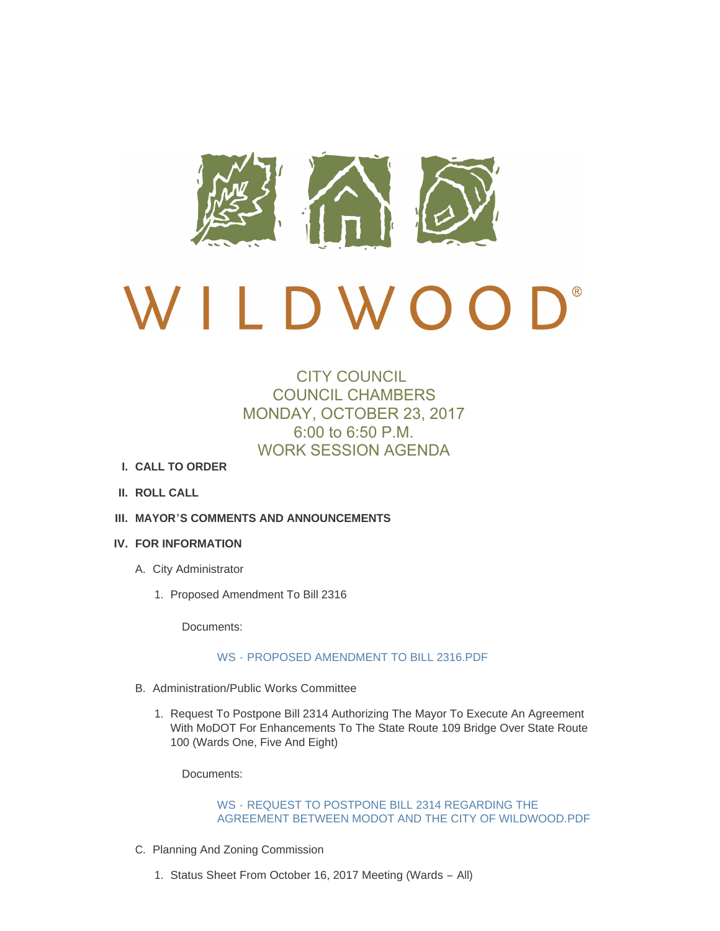

# $\bigcup$ D W O O

## CITY COUNCIL COUNCIL CHAMBERS MONDAY, OCTOBER 23, 2017 6:00 to 6:50 P.M. WORK SESSION AGENDA

- **CALL TO ORDER I.**
- **ROLL CALL II.**
- **MAYOR'S COMMENTS AND ANNOUNCEMENTS III.**

#### **FOR INFORMATION IV.**

- A. City Administrator
	- 1. Proposed Amendment To Bill 2316

Documents:

#### WS - [PROPOSED AMENDMENT TO BILL 2316.PDF](http://cityofwildwood.com/AgendaCenter/ViewFile/Item/12717?fileID=18666)

- B. Administration/Public Works Committee
	- 1. Request To Postpone Bill 2314 Authorizing The Mayor To Execute An Agreement With MoDOT For Enhancements To The State Route 109 Bridge Over State Route 100 (Wards One, Five And Eight)

Documents:

#### WS - REQUEST TO POSTPONE BILL 2314 REGARDING THE [AGREEMENT BETWEEN MODOT AND THE CITY OF WILDWOOD.PDF](http://cityofwildwood.com/AgendaCenter/ViewFile/Item/12719?fileID=18667)

- C. Planning And Zoning Commission
	- 1. Status Sheet From October 16, 2017 Meeting (Wards All)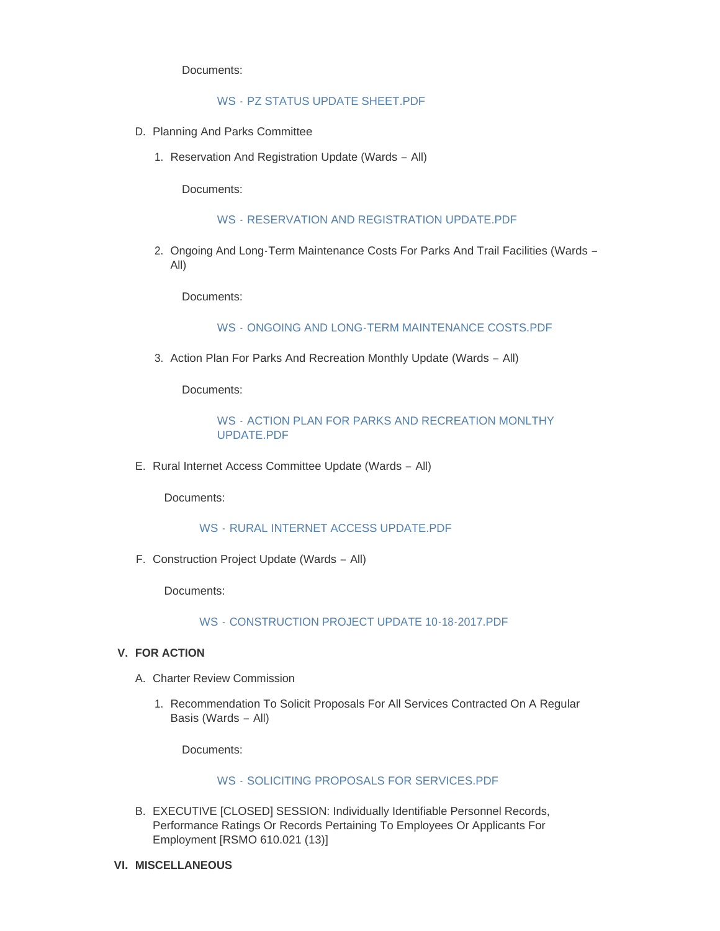Documents:

#### WS - [PZ STATUS UPDATE SHEET.PDF](http://cityofwildwood.com/AgendaCenter/ViewFile/Item/12721?fileID=18668)

- D. Planning And Parks Committee
	- 1. Reservation And Registration Update (Wards All)

Documents:

WS - [RESERVATION AND REGISTRATION UPDATE.PDF](http://cityofwildwood.com/AgendaCenter/ViewFile/Item/12723?fileID=18669)

2. Ongoing And Long-Term Maintenance Costs For Parks And Trail Facilities (Wards -All)

Documents:

WS - [ONGOING AND LONG-TERM MAINTENANCE COSTS.PDF](http://cityofwildwood.com/AgendaCenter/ViewFile/Item/12724?fileID=18670)

3. Action Plan For Parks And Recreation Monthly Update (Wards - All)

Documents:

### WS - [ACTION PLAN FOR PARKS AND RECREATION MONLTHY](http://cityofwildwood.com/AgendaCenter/ViewFile/Item/12725?fileID=18671)  UPDATE.PDF

E. Rural Internet Access Committee Update (Wards - All)

Documents:

WS - [RURAL INTERNET ACCESS UPDATE.PDF](http://cityofwildwood.com/AgendaCenter/ViewFile/Item/12726?fileID=18672)

F. Construction Project Update (Wards - All)

Documents:

WS - [CONSTRUCTION PROJECT UPDATE 10-18-2017.PDF](http://cityofwildwood.com/AgendaCenter/ViewFile/Item/12727?fileID=18673)

#### **FOR ACTION V.**

- A. Charter Review Commission
	- 1. Recommendation To Solicit Proposals For All Services Contracted On A Regular Basis (Wards – All)

Documents:

#### WS - [SOLICITING PROPOSALS FOR SERVICES.PDF](http://cityofwildwood.com/AgendaCenter/ViewFile/Item/12730?fileID=18674)

- B. EXECUTIVE [CLOSED] SESSION: Individually Identifiable Personnel Records, Performance Ratings Or Records Pertaining To Employees Or Applicants For Employment [RSMO 610.021 (13)]
- **MISCELLANEOUS VI.**